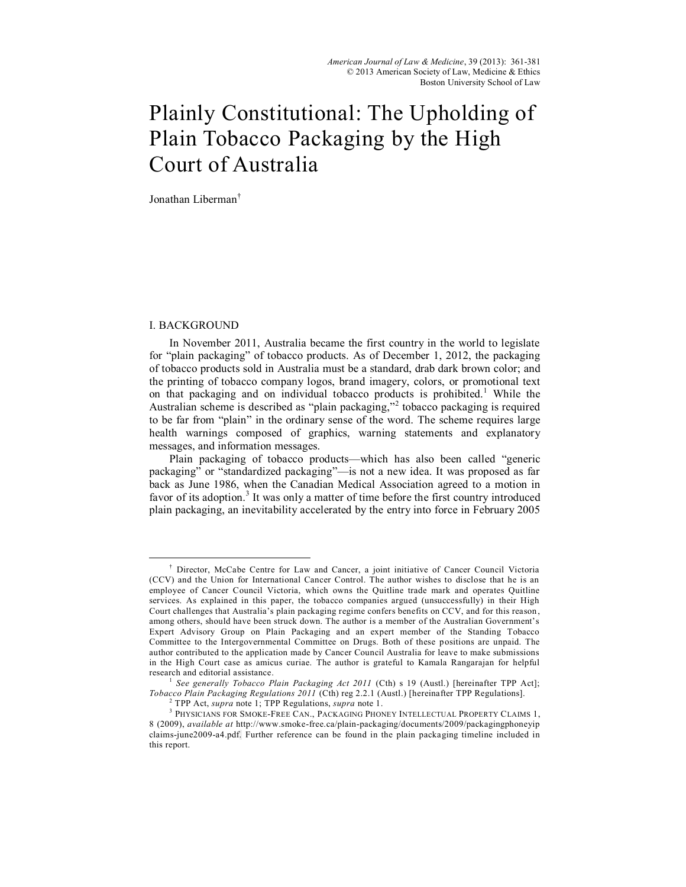*American Journal of Law & Medicine*, 39 (2013): 361-381 © 2013 American Society of Law, Medicine & Ethics Boston University School of Law

# Plainly Constitutional: The Upholding of Plain Tobacco Packaging by the High Court of Australia

Jonathan Liberman†

#### I. BACKGROUND

 $\overline{a}$ 

In November 2011, Australia became the first country in the world to legislate for "plain packaging" of tobacco products. As of December 1, 2012, the packaging of tobacco products sold in Australia must be a standard, drab dark brown color; and the printing of tobacco company logos, brand imagery, colors, or promotional text on that packaging and on individual tobacco products is prohibited. <sup>1</sup> While the Australian scheme is described as "plain packaging," 2 tobacco packaging is required to be far from "plain" in the ordinary sense of the word. The scheme requires large health warnings composed of graphics, warning statements and explanatory messages, and information messages.

Plain packaging of tobacco products—which has also been called "generic packaging" or "standardized packaging"—is not a new idea. It was proposed as far back as June 1986, when the Canadian Medical Association agreed to a motion in favor of its adoption.<sup>3</sup> It was only a matter of time before the first country introduced plain packaging, an inevitability accelerated by the entry into force in February 2005

<sup>†</sup> Director, McCabe Centre for Law and Cancer, a joint initiative of Cancer Council Victoria (CCV) and the Union for International Cancer Control. The author wishes to disclose that he is an employee of Cancer Council Victoria, which owns the Quitline trade mark and operates Quitline services. As explained in this paper, the tobacco companies argued (unsuccessfully) in their High Court challenges that Australia's plain packaging regime confers benefits on CCV, and for this reason , among others, should have been struck down. The author is a member of the Australian Government's Expert Advisory Group on Plain Packaging and an expert member of the Standing Tobacco Committee to the Intergovernmental Committee on Drugs. Both of these positions are unpaid. The author contributed to the application made by Cancer Council Australia for leave to make submissions in the High Court case as amicus curiae. The author is grateful to Kamala Rangarajan for helpful research and editorial assistance.

<sup>1</sup> *See generally Tobacco Plain Packaging Act 2011* (Cth) s 19 (Austl.) [hereinafter TPP Act]; *Tobacco Plain Packaging Regulations 2011* (Cth) reg 2.2.1 (Austl.) [hereinafter TPP Regulations]. <sup>2</sup> TPP Act, *supra* note 1; TPP Regulations, *supra* note 1.

<sup>&</sup>lt;sup>3</sup> PHYSICIANS FOR SMOKE-FREE CAN., PACKAGING PHONEY INTELLECTUAL PROPERTY CLAIMS 1, 8 (2009), *available at* http://www.smoke-free.ca/plain-packaging/documents/2009/packagingphoneyip claims-june2009-a4.pdf. Further reference can be found in the plain packaging timeline included in this report.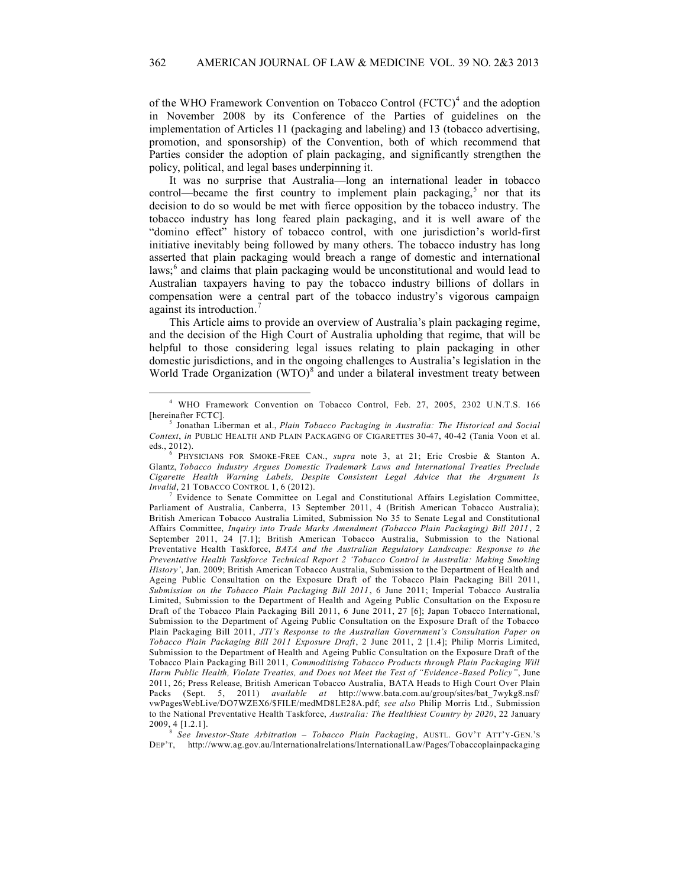of the WHO Framework Convention on Tobacco Control (FCTC)<sup>4</sup> and the adoption in November 2008 by its Conference of the Parties of guidelines on the implementation of Articles 11 (packaging and labeling) and 13 (tobacco advertising, promotion, and sponsorship) of the Convention, both of which recommend that Parties consider the adoption of plain packaging, and significantly strengthen the policy, political, and legal bases underpinning it.

It was no surprise that Australia—long an international leader in tobacco control—became the first country to implement plain packaging, $5$  nor that its decision to do so would be met with fierce opposition by the tobacco industry. The tobacco industry has long feared plain packaging, and it is well aware of the "domino effect" history of tobacco control, with one jurisdiction's world-first initiative inevitably being followed by many others. The tobacco industry has long asserted that plain packaging would breach a range of domestic and international laws; 6 and claims that plain packaging would be unconstitutional and would lead to Australian taxpayers having to pay the tobacco industry billions of dollars in compensation were a central part of the tobacco industry's vigorous campaign against its introduction.<sup>7</sup>

This Article aims to provide an overview of Australia's plain packaging regime, and the decision of the High Court of Australia upholding that regime, that will be helpful to those considering legal issues relating to plain packaging in other domestic jurisdictions, and in the ongoing challenges to Australia's legislation in the World Trade Organization  $(WTO)^8$  and under a bilateral investment treaty between

<sup>4</sup> WHO Framework Convention on Tobacco Control, Feb. 27, 2005, 2302 U.N.T.S. 166 [hereinafter FCTC].

<sup>5</sup> Jonathan Liberman et al., *Plain Tobacco Packaging in Australia: The Historical and Social Context*, *in* PUBLIC HEALTH AND PLAIN PACKAGING OF CIGARETTES 30-47, 40-42 (Tania Voon et al. eds., 2012).

<sup>6</sup> PHYSICIANS FOR SMOKE-FREE CAN., *supra* note 3, at 21; Eric Crosbie & Stanton A. Glantz, *Tobacco Industry Argues Domestic Trademark Laws and International Treaties Preclude Cigarette Health Warning Labels, Despite Consistent Legal Advice that the Argument Is Invalid*, 21 TOBACCO CONTROL 1, 6 (2012).

<sup>7</sup> Evidence to Senate Committee on Legal and Constitutional Affairs Legislation Committee, Parliament of Australia, Canberra, 13 September 2011, 4 (British American Tobacco Australia); British American Tobacco Australia Limited, Submission No 35 to Senate Legal and Constitutional Affairs Committee, *Inquiry into Trade Marks Amendment (Tobacco Plain Packaging) Bill 2011* , 2 September 2011, 24 [7.1]; British American Tobacco Australia, Submission to the National Preventative Health Taskforce, *BATA and the Australian Regulatory Landscape: Response to the Preventative Health Taskforce Technical Report 2 'Tobacco Control in Australia: Making Smoking History'*, Jan. 2009; British American Tobacco Australia, Submission to the Department of Health and Ageing Public Consultation on the Exposure Draft of the Tobacco Plain Packaging Bill 2011, *Submission on the Tobacco Plain Packaging Bill 2011*, 6 June 2011; Imperial Tobacco Australia Limited, Submission to the Department of Health and Ageing Public Consultation on the Exposure Draft of the Tobacco Plain Packaging Bill 2011, 6 June 2011, 27 [6]; Japan Tobacco International, Submission to the Department of Ageing Public Consultation on the Exposure Draft of the Tobacco Plain Packaging Bill 2011, *JTI's Response to the Australian Government's Consultation Paper on Tobacco Plain Packaging Bill 2011 Exposure Draft*, 2 June 2011, 2 [1.4]; Philip Morris Limited, Submission to the Department of Health and Ageing Public Consultation on the Exposure Draft of the Tobacco Plain Packaging Bill 2011, *Commoditising Tobacco Products through Plain Packaging Will Harm Public Health, Violate Treaties, and Does not Meet the Test of "Evidence -Based Policy"*, June 2011, 26; Press Release, British American Tobacco Australia, BATA Heads to High Court Over Plain Packs (Sept. 5, 2011) *available at* http://www.bata.com.au/group/sites/bat\_7wykg8.nsf/ vwPagesWebLive/DO7WZEX6/\$FILE/medMD8LE28A.pdf; *see also* Philip Morris Ltd., Submission to the National Preventative Health Taskforce, *Australia: The Healthiest Country by 2020*, 22 January  $2009, 4$  [1.2.1].

*See Investor-State Arbitration – Tobacco Plain Packaging*, AUSTL. GOV'T ATT'Y-GEN.'S DEP'T, http://www.ag.gov.au/Internationalrelations/InternationalLaw/Pages/Tobaccoplainpackaging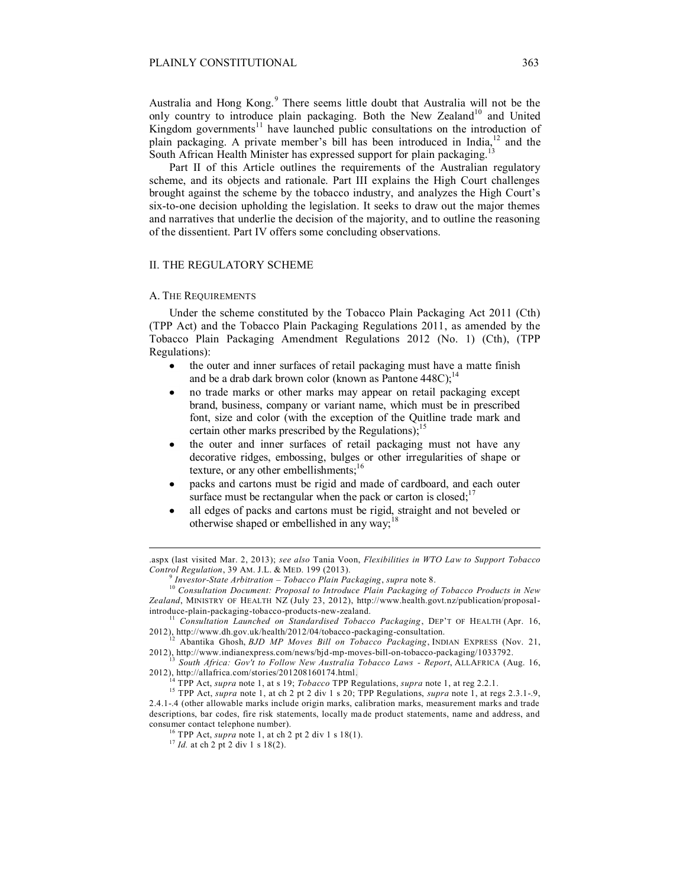Australia and Hong Kong.<sup>9</sup> There seems little doubt that Australia will not be the only country to introduce plain packaging. Both the New Zealand<sup>10</sup> and United Kingdom governments $1$  have launched public consultations on the introduction of plain packaging. A private member's bill has been introduced in India,<sup>12</sup> and the South African Health Minister has expressed support for plain packaging.<sup>13</sup>

Part II of this Article outlines the requirements of the Australian regulatory scheme, and its objects and rationale. Part III explains the High Court challenges brought against the scheme by the tobacco industry, and analyzes the High Court's six-to-one decision upholding the legislation. It seeks to draw out the major themes and narratives that underlie the decision of the majority, and to outline the reasoning of the dissentient. Part IV offers some concluding observations.

## II. THE REGULATORY SCHEME

## A. THE REQUIREMENTS

 $\overline{a}$ 

Under the scheme constituted by the Tobacco Plain Packaging Act 2011 (Cth) (TPP Act) and the Tobacco Plain Packaging Regulations 2011, as amended by the Tobacco Plain Packaging Amendment Regulations 2012 (No. 1) (Cth), (TPP Regulations):

- the outer and inner surfaces of retail packaging must have a matte finish  $\bullet$ and be a drab dark brown color (known as Pantone  $448C$ );<sup>14</sup>
- no trade marks or other marks may appear on retail packaging except brand, business, company or variant name, which must be in prescribed font, size and color (with the exception of the Quitline trade mark and certain other marks prescribed by the Regulations);<sup>15</sup>
- the outer and inner surfaces of retail packaging must not have any  $\epsilon$ decorative ridges, embossing, bulges or other irregularities of shape or texture, or any other embellishments; 16
- packs and cartons must be rigid and made of cardboard, and each outer surface must be rectangular when the pack or carton is closed; $17$
- all edges of packs and cartons must be rigid, straight and not beveled or otherwise shaped or embellished in any way;<sup>18</sup>

.aspx (last visited Mar. 2, 2013); *see also* Tania Voon, *Flexibilities in WTO Law to Support Tobacco Control Regulation*, 39 AM. J.L. & MED. 199 (2013).

<sup>9</sup> *Investor-State Arbitration – Tobacco Plain Packaging*, *supra* note 8.

<sup>10</sup> *Consultation Document: Proposal to Introduce Plain Packaging of Tobacco Products in New Zealand*, MINISTRY OF HEALTH NZ (July 23, 2012), http://www.health.govt.nz/publication/proposalintroduce-plain-packaging-tobacco-products-new-zealand.

<sup>11</sup> *Consultation Launched on Standardised Tobacco Packaging*, DEP'T OF HEALTH (Apr. 16, 2012), http://www.dh.gov.uk/health/2012/04/tobacco-packaging-consultation.

<sup>12</sup> Abantika Ghosh, *BJD MP Moves Bill on Tobacco Packaging*, INDIAN EXPRESS (Nov. 21, 2012), http://www.indianexpress.com/news/bjd-mp-moves-bill-on-tobacco-packaging/1033792.

<sup>13</sup> *South Africa: Gov't to Follow New Australia Tobacco Laws - Report*, ALLAFRICA (Aug. 16, 2012), http://allafrica.com/stories/201208160174.html.

<sup>14</sup> TPP Act, *supra* note 1, at s 19; *Tobacco* TPP Regulations, *supra* note 1, at reg 2.2.1.

<sup>15</sup> TPP Act, *supra* note 1, at ch 2 pt 2 div 1 s 20; TPP Regulations, *supra* note 1, at regs 2.3.1-.9, 2.4.1-.4 (other allowable marks include origin marks, calibration marks, measurement marks and trade descriptions, bar codes, fire risk statements, locally ma de product statements, name and address, and consumer contact telephone number).

<sup>16</sup> TPP Act, *supra* note 1, at ch 2 pt 2 div 1 s 18(1).

<sup>&</sup>lt;sup>17</sup> *Id.* at ch 2 pt 2 div 1 s 18(2).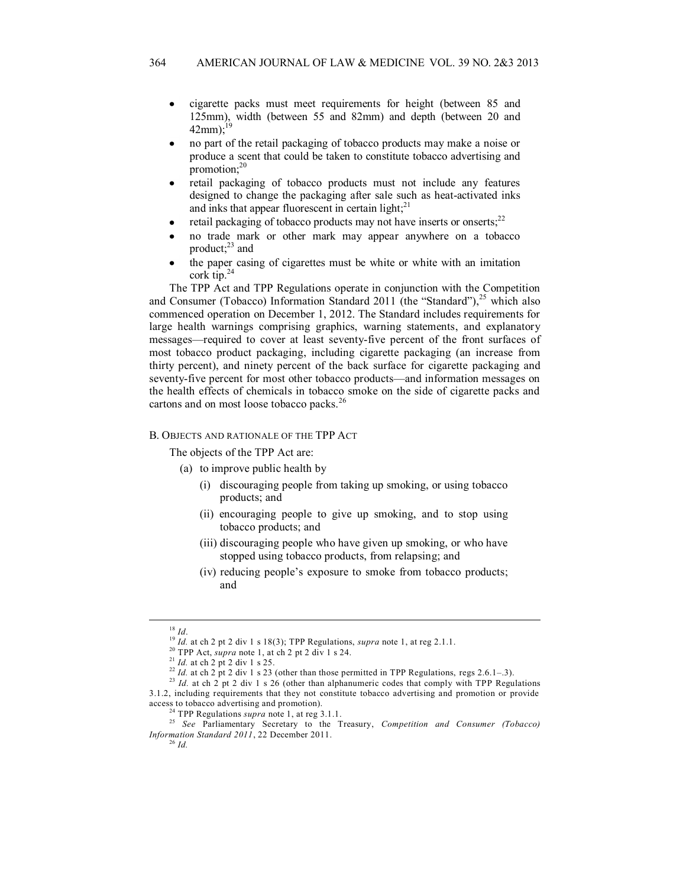- cigarette packs must meet requirements for height (between 85 and 125mm), width (between 55 and 82mm) and depth (between 20 and  $42$ mm); $^{19}$
- no part of the retail packaging of tobacco products may make a noise or produce a scent that could be taken to constitute tobacco advertising and promotion;<sup>20</sup>
- retail packaging of tobacco products must not include any features designed to change the packaging after sale such as heat-activated inks and inks that appear fluorescent in certain light;<sup>21</sup>
- retail packaging of tobacco products may not have inserts or onserts;<sup>22</sup>
- no trade mark or other mark may appear anywhere on a tobacco product; <sup>23</sup> and
- the paper casing of cigarettes must be white or white with an imitation cork tip. 24

The TPP Act and TPP Regulations operate in conjunction with the Competition and Consumer (Tobacco) Information Standard 2011 (the "Standard"), <sup>25</sup> which also commenced operation on December 1, 2012. The Standard includes requirements for large health warnings comprising graphics, warning statements, and explanatory messages—required to cover at least seventy-five percent of the front surfaces of most tobacco product packaging, including cigarette packaging (an increase from thirty percent), and ninety percent of the back surface for cigarette packaging and seventy-five percent for most other tobacco products—and information messages on the health effects of chemicals in tobacco smoke on the side of cigarette packs and cartons and on most loose tobacco packs.<sup>26</sup>

# B. OBJECTS AND RATIONALE OF THE TPP ACT

The objects of the TPP Act are:

- (a) to improve public health by
	- (i) discouraging people from taking up smoking, or using tobacco products; and
	- (ii) encouraging people to give up smoking, and to stop using tobacco products; and
	- (iii) discouraging people who have given up smoking, or who have stopped using tobacco products, from relapsing; and
	- (iv) reducing people's exposure to smoke from tobacco products; and

<sup>18</sup> *Id*.

<sup>&</sup>lt;sup>19</sup> *Id.* at ch 2 pt 2 div 1 s 18(3); TPP Regulations, *supra* note 1, at reg 2.1.1.

<sup>20</sup> TPP Act, *supra* note 1, at ch 2 pt 2 div 1 s 24.

<sup>&</sup>lt;sup>21</sup> *Id.* at ch 2 pt 2 div 1 s 25.

<sup>&</sup>lt;sup>22</sup> *Id.* at ch 2 pt 2 div 1 s 23 (other than those permitted in TPP Regulations, regs 2.6.1–.3).

<sup>&</sup>lt;sup>23</sup> *Id.* at ch 2 pt 2 div 1 s 26 (other than alphanumeric codes that comply with TPP Regulations 3.1.2, including requirements that they not constitute tobacco advertising and promotion or provide access to tobacco advertising and promotion).

<sup>24</sup> TPP Regulations *supra* note 1, at reg 3.1.1.

<sup>25</sup> *See* Parliamentary Secretary to the Treasury, *Competition and Consumer (Tobacco) Information Standard 2011*, 22 December 2011.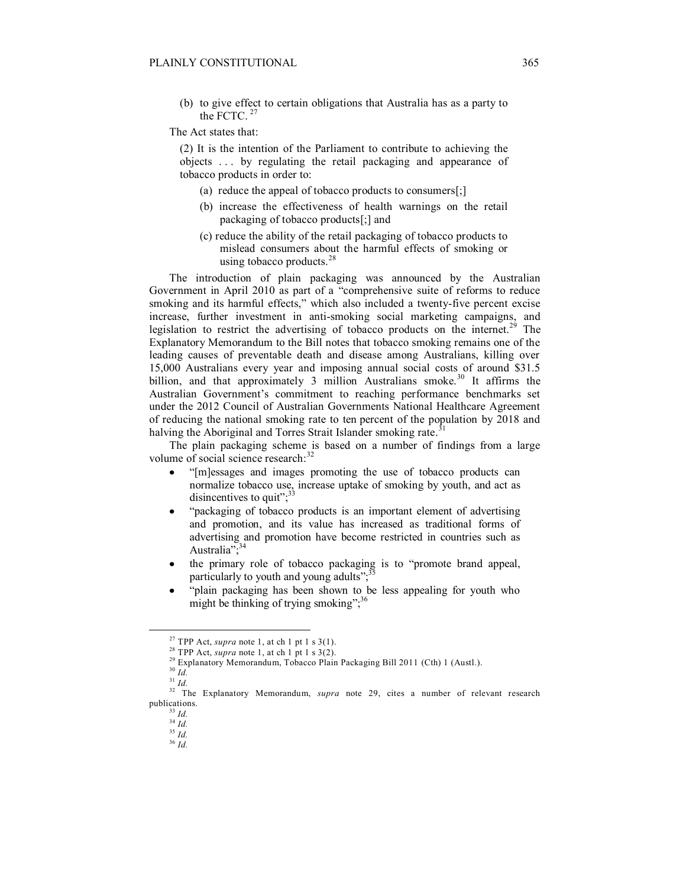(b) to give effect to certain obligations that Australia has as a party to the FCTC.  $27$ 

# The Act states that:

(2) It is the intention of the Parliament to contribute to achieving the objects . . . by regulating the retail packaging and appearance of tobacco products in order to:

- (a) reduce the appeal of tobacco products to consumers[;]
- (b) increase the effectiveness of health warnings on the retail packaging of tobacco products[;] and
- (c) reduce the ability of the retail packaging of tobacco products to mislead consumers about the harmful effects of smoking or using tobacco products.<sup>28</sup>

The introduction of plain packaging was announced by the Australian Government in April 2010 as part of a "comprehensive suite of reforms to reduce smoking and its harmful effects," which also included a twenty-five percent excise increase, further investment in anti-smoking social marketing campaigns, and legislation to restrict the advertising of tobacco products on the internet.<sup>29</sup> The Explanatory Memorandum to the Bill notes that tobacco smoking remains one of the leading causes of preventable death and disease among Australians, killing over 15,000 Australians every year and imposing annual social costs of around \$31.5 billion, and that approximately 3 million Australians smoke.<sup>30</sup> It affirms the Australian Government's commitment to reaching performance benchmarks set under the 2012 Council of Australian Governments National Healthcare Agreement of reducing the national smoking rate to ten percent of the population by 2018 and halving the Aboriginal and Torres Strait Islander smoking rate.<sup>31</sup>

The plain packaging scheme is based on a number of findings from a large volume of social science research:<sup>32</sup>

- $\bullet$ "[m]essages and images promoting the use of tobacco products can normalize tobacco use, increase uptake of smoking by youth, and act as disincentives to quit";  $33$
- "packaging of tobacco products is an important element of advertising and promotion, and its value has increased as traditional forms of advertising and promotion have become restricted in countries such as Australia";<sup>34</sup>
- the primary role of tobacco packaging is to "promote brand appeal,  $\bullet$ particularly to youth and young adults";  $35$
- "plain packaging has been shown to be less appealing for youth who  $\bullet$ might be thinking of trying smoking";<sup>36</sup>

<sup>&</sup>lt;sup>27</sup> TPP Act, *supra* note 1, at ch 1 pt 1 s 3(1).

<sup>28</sup> TPP Act, *supra* note 1, at ch 1 pt 1 s 3(2).

<sup>&</sup>lt;sup>29</sup> Explanatory Memorandum, Tobacco Plain Packaging Bill 2011 (Cth) 1 (Austl.).

<sup>30</sup> *Id.*

<sup>31</sup> *Id.*

<sup>&</sup>lt;sup>32</sup> The Explanatory Memorandum, *supra* note 29, cites a number of relevant research publications.

<sup>33</sup> *Id.*  $^{34}$   $^{10}$ .

 $^{35}$  *Id.* 

<sup>36</sup> *Id.*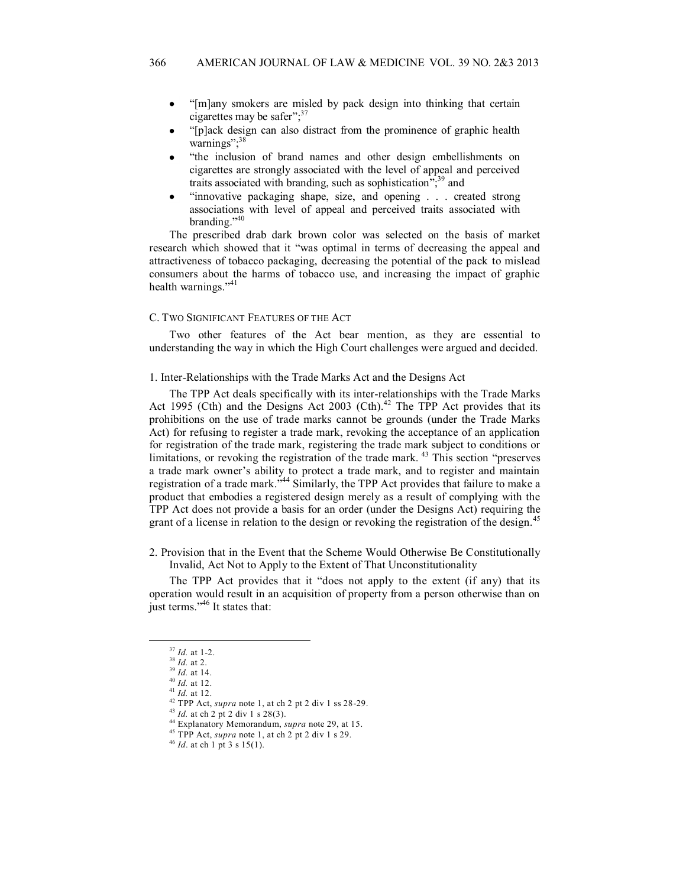- "[m]any smokers are misled by pack design into thinking that certain cigarettes may be safer";<sup>37</sup>
- "[p]ack design can also distract from the prominence of graphic health warnings"; 38
- "the inclusion of brand names and other design embellishments on cigarettes are strongly associated with the level of appeal and perceived traits associated with branding, such as sophistication<sup>77</sup>,<sup>39</sup> and
- "innovative packaging shape, size, and opening . . . created strong associations with level of appeal and perceived traits associated with branding."<sup>40</sup>

The prescribed drab dark brown color was selected on the basis of market research which showed that it "was optimal in terms of decreasing the appeal and attractiveness of tobacco packaging, decreasing the potential of the pack to mislead consumers about the harms of tobacco use, and increasing the impact of graphic health warnings." $41$ 

# C. TWO SIGNIFICANT FEATURES OF THE ACT

Two other features of the Act bear mention, as they are essential to understanding the way in which the High Court challenges were argued and decided.

# 1. Inter-Relationships with the Trade Marks Act and the Designs Act

The TPP Act deals specifically with its inter-relationships with the Trade Marks Act 1995 (Cth) and the Designs Act 2003 (Cth). <sup>42</sup> The TPP Act provides that its prohibitions on the use of trade marks cannot be grounds (under the Trade Marks Act) for refusing to register a trade mark, revoking the acceptance of an application for registration of the trade mark, registering the trade mark subject to conditions or limitations, or revoking the registration of the trade mark. <sup>43</sup> This section "preserves a trade mark owner's ability to protect a trade mark, and to register and maintain registration of a trade mark."<sup>44</sup> Similarly, the TPP Act provides that failure to make a product that embodies a registered design merely as a result of complying with the TPP Act does not provide a basis for an order (under the Designs Act) requiring the grant of a license in relation to the design or revoking the registration of the design.<sup>45</sup>

2. Provision that in the Event that the Scheme Would Otherwise Be Constitutionally Invalid, Act Not to Apply to the Extent of That Unconstitutionality

The TPP Act provides that it "does not apply to the extent (if any) that its operation would result in an acquisition of property from a person otherwise than on just terms."<sup>46</sup> It states that:

 $\overline{a}$ 

<sup>43</sup> *Id.* at ch 2 pt 2 div 1 s 28(3).

<sup>37</sup> *Id.* at 1-2.

<sup>38</sup> *Id.* at 2.

<sup>39</sup> *Id.* at 14.

<sup>40</sup> *Id.* at 12.

<sup>41</sup> *Id.* at 12.

<sup>&</sup>lt;sup>42</sup> TPP Act, *supra* note 1, at ch 2 pt 2 div 1 ss 28-29.

<sup>44</sup> Explanatory Memorandum, *supra* note 29, at 15.

<sup>45</sup> TPP Act, *supra* note 1, at ch 2 pt 2 div 1 s 29.

<sup>46</sup> *Id*. at ch 1 pt 3 s 15(1).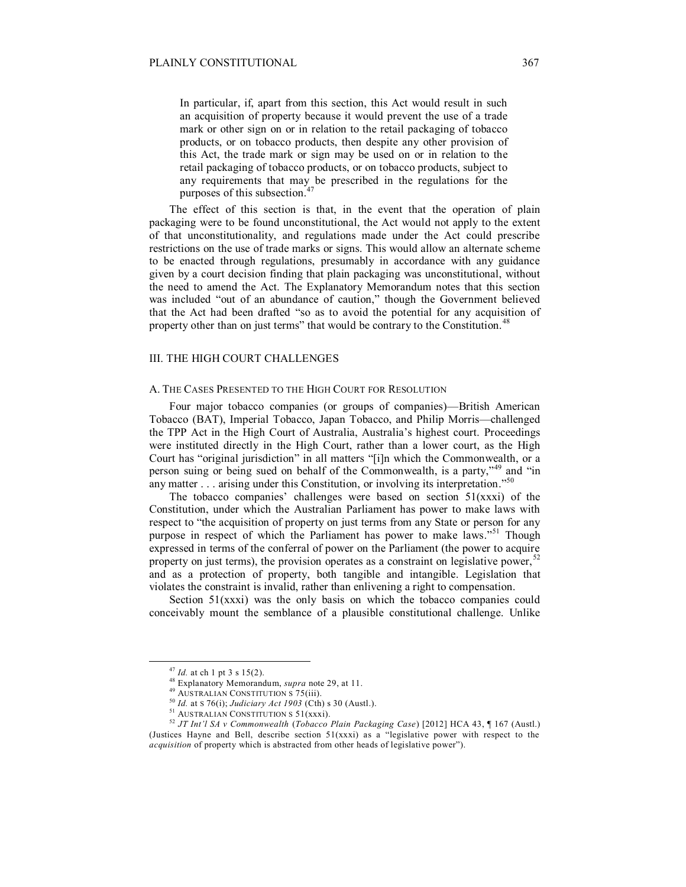In particular, if, apart from this section, this Act would result in such an acquisition of property because it would prevent the use of a trade mark or other sign on or in relation to the retail packaging of tobacco products, or on tobacco products, then despite any other provision of this Act, the trade mark or sign may be used on or in relation to the retail packaging of tobacco products, or on tobacco products, subject to any requirements that may be prescribed in the regulations for the purposes of this subsection.<sup>47</sup>

The effect of this section is that, in the event that the operation of plain packaging were to be found unconstitutional, the Act would not apply to the extent of that unconstitutionality, and regulations made under the Act could prescribe restrictions on the use of trade marks or signs. This would allow an alternate scheme to be enacted through regulations, presumably in accordance with any guidance given by a court decision finding that plain packaging was unconstitutional, without the need to amend the Act. The Explanatory Memorandum notes that this section was included "out of an abundance of caution," though the Government believed that the Act had been drafted "so as to avoid the potential for any acquisition of property other than on just terms" that would be contrary to the Constitution.<sup>48</sup>

# III. THE HIGH COURT CHALLENGES

## A. THE CASES PRESENTED TO THE HIGH COURT FOR RESOLUTION

Four major tobacco companies (or groups of companies)—British American Tobacco (BAT), Imperial Tobacco, Japan Tobacco, and Philip Morris—challenged the TPP Act in the High Court of Australia, Australia's highest court. Proceedings were instituted directly in the High Court, rather than a lower court, as the High Court has "original jurisdiction" in all matters "[i]n which the Commonwealth, or a person suing or being sued on behalf of the Commonwealth, is a party,"<sup>49</sup> and "in any matter . . . arising under this Constitution, or involving its interpretation."<sup>50</sup>

The tobacco companies' challenges were based on section  $51(xxxi)$  of the Constitution, under which the Australian Parliament has power to make laws with respect to "the acquisition of property on just terms from any State or person for any purpose in respect of which the Parliament has power to make laws."<sup>51</sup> Though expressed in terms of the conferral of power on the Parliament (the power to acquire property on just terms), the provision operates as a constraint on legislative power,<sup>52</sup> and as a protection of property, both tangible and intangible. Legislation that violates the constraint is invalid, rather than enlivening a right to compensation.

Section  $51(xxxi)$  was the only basis on which the tobacco companies could conceivably mount the semblance of a plausible constitutional challenge. Unlike

<sup>47</sup> *Id.* at ch 1 pt 3 s 15(2).

<sup>48</sup> Explanatory Memorandum, *supra* note 29, at 11.

<sup>49</sup> AUSTRALIAN CONSTITUTION S 75(iii).

<sup>50</sup> *Id.* at S 76(i); *Judiciary Act 1903* (Cth) s 30 (Austl.).

<sup>&</sup>lt;sup>51</sup> AUSTRALIAN CONSTITUTION S 51(xxxi).

<sup>52</sup> *JT Int'l SA v Commonwealth* (*Tobacco Plain Packaging Case*) [2012] HCA 43, ¶ 167 (Austl.) (Justices Hayne and Bell, describe section 51(xxxi) as a "legislative power with respect to the *acquisition* of property which is abstracted from other heads of legislative power").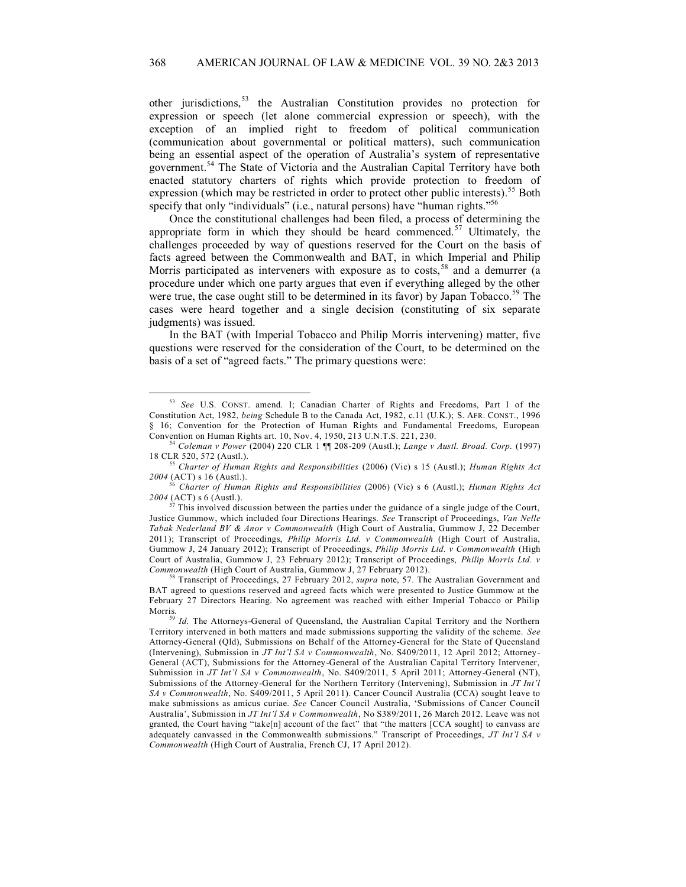other jurisdictions,  $53$  the Australian Constitution provides no protection for expression or speech (let alone commercial expression or speech), with the exception of an implied right to freedom of political communication (communication about governmental or political matters), such communication being an essential aspect of the operation of Australia's system of representative government.<sup>54</sup> The State of Victoria and the Australian Capital Territory have both enacted statutory charters of rights which provide protection to freedom of expression (which may be restricted in order to protect other public interests).<sup>55</sup> Both specify that only "individuals" (i.e., natural persons) have "human rights."<sup>56</sup>

Once the constitutional challenges had been filed, a process of determining the appropriate form in which they should be heard commenced.<sup>57</sup> Ultimately, the challenges proceeded by way of questions reserved for the Court on the basis of facts agreed between the Commonwealth and BAT, in which Imperial and Philip Morris participated as interveners with exposure as to costs, $5<sup>8</sup>$  and a demurrer (a procedure under which one party argues that even if everything alleged by the other were true, the case ought still to be determined in its favor) by Japan Tobacco.<sup>59</sup> The cases were heard together and a single decision (constituting of six separate judgments) was issued.

In the BAT (with Imperial Tobacco and Philip Morris intervening) matter, five questions were reserved for the consideration of the Court, to be determined on the basis of a set of "agreed facts." The primary questions were:

<sup>53</sup> *See* U.S. CONST. amend. I; Canadian Charter of Rights and Freedoms, Part I of the Constitution Act, 1982, *being* Schedule B to the Canada Act, 1982, c.11 (U.K.); S. AFR. CONST., 1996 § 16; Convention for the Protection of Human Rights and Fundamental Freedoms, European Convention on Human Rights art. 10, Nov. 4, 1950, 213 U.N.T.S. 221, 230.

<sup>54</sup> *Coleman v Power* (2004) 220 CLR 1 ¶¶ 208-209 (Austl.); *Lange v Austl. Broad. Corp.* (1997) 18 CLR 520, 572 (Austl.).

<sup>55</sup> *Charter of Human Rights and Responsibilities* (2006) (Vic) s 15 (Austl.); *Human Rights Act 2004* (ACT) s 16 (Austl.).

<sup>56</sup> *Charter of Human Rights and Responsibilities* (2006) (Vic) s 6 (Austl.); *Human Rights Act 2004* (ACT) s 6 (Austl.).

This involved discussion between the parties under the guidance of a single judge of the Court, Justice Gummow, which included four Directions Hearings. *See* Transcript of Proceedings, *Van Nelle Tabak Nederland BV & Anor v Commonwealth* (High Court of Australia, Gummow J, 22 December 2011); Transcript of Proceedings, *Philip Morris Ltd. v Commonwealth* (High Court of Australia, Gummow J, 24 January 2012); Transcript of Proceedings, *Philip Morris Ltd. v Commonwealth* (High Court of Australia, Gummow J, 23 February 2012); Transcript of Proceedings, *Philip Morris Ltd. v Commonwealth* (High Court of Australia, Gummow J, 27 February 2012).

<sup>58</sup> Transcript of Proceedings, 27 February 2012, *supra* note, 57. The Australian Government and BAT agreed to questions reserved and agreed facts which were presented to Justice Gummow at the February 27 Directors Hearing. No agreement was reached with either Imperial Tobacco or Philip Morris.

<sup>&</sup>lt;sup>59</sup> *Id.* The Attorneys-General of Queensland, the Australian Capital Territory and the Northern Territory intervened in both matters and made submissions supporting the validity of the scheme. *See* Attorney-General (Qld), Submissions on Behalf of the Attorney-General for the State of Queensland (Intervening), Submission in *JT Int'l SA v Commonwealth*, No. S409/2011, 12 April 2012; Attorney-General (ACT), Submissions for the Attorney-General of the Australian Capital Territory Intervener, Submission in *JT Int'l SA v Commonwealth*, No. S409/2011, 5 April 2011; Attorney-General (NT), Submissions of the Attorney-General for the Northern Territory (Intervening), Submission in *JT Int'l SA v Commonwealth*, No. S409/2011, 5 April 2011). Cancer Council Australia (CCA) sought leave to make submissions as amicus curiae. *See* Cancer Council Australia, 'Submissions of Cancer Council Australia', Submission in *JT Int'l SA v Commonwealth*, No S389/2011, 26 March 2012. Leave was not granted, the Court having "take[n] account of the fact" that "the matters [CCA sought] to canvass are adequately canvassed in the Commonwealth submissions." Transcript of Proceedings, *JT Int'l SA v Commonwealth* (High Court of Australia, French CJ, 17 April 2012).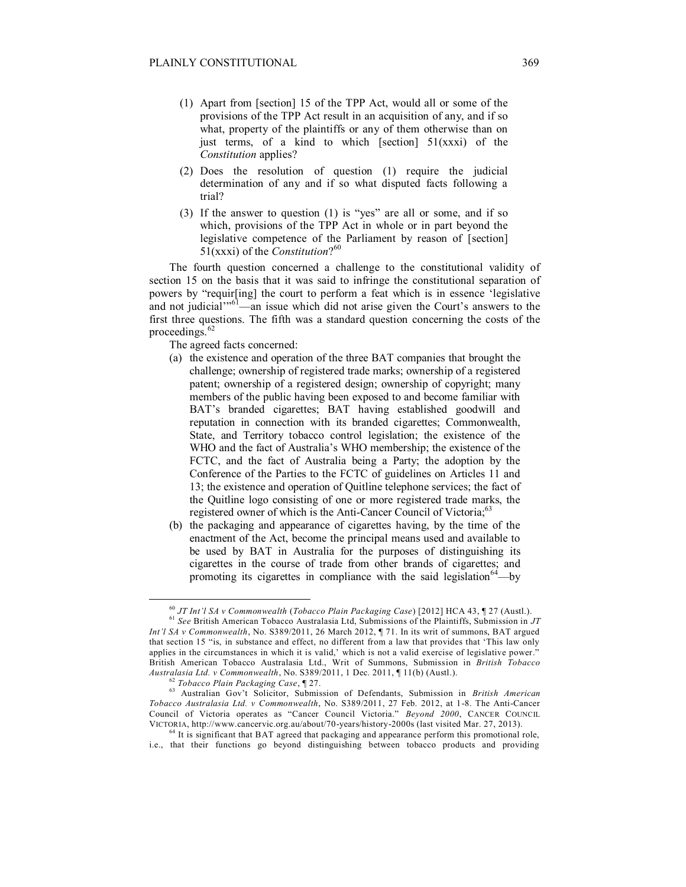- (1) Apart from [section] 15 of the TPP Act, would all or some of the provisions of the TPP Act result in an acquisition of any, and if so what, property of the plaintiffs or any of them otherwise than on just terms, of a kind to which [section] 51(xxxi) of the *Constitution* applies?
- (2) Does the resolution of question (1) require the judicial determination of any and if so what disputed facts following a trial?
- (3) If the answer to question (1) is "yes" are all or some, and if so which, provisions of the TPP Act in whole or in part beyond the legislative competence of the Parliament by reason of [section] 51(xxxi) of the *Constitution*? 60

The fourth question concerned a challenge to the constitutional validity of section 15 on the basis that it was said to infringe the constitutional separation of powers by "requir[ing] the court to perform a feat which is in essence 'legislative and not judicial"<sup>61</sup>—an issue which did not arise given the Court's answers to the first three questions. The fifth was a standard question concerning the costs of the proceedings.<sup>62</sup>

The agreed facts concerned:

- (a) the existence and operation of the three BAT companies that brought the challenge; ownership of registered trade marks; ownership of a registered patent; ownership of a registered design; ownership of copyright; many members of the public having been exposed to and become familiar with BAT's branded cigarettes; BAT having established goodwill and reputation in connection with its branded cigarettes; Commonwealth, State, and Territory tobacco control legislation; the existence of the WHO and the fact of Australia's WHO membership; the existence of the FCTC, and the fact of Australia being a Party; the adoption by the Conference of the Parties to the FCTC of guidelines on Articles 11 and 13; the existence and operation of Quitline telephone services; the fact of the Quitline logo consisting of one or more registered trade marks, the registered owner of which is the Anti-Cancer Council of Victoria;<sup>63</sup>
- (b) the packaging and appearance of cigarettes having, by the time of the enactment of the Act, become the principal means used and available to be used by BAT in Australia for the purposes of distinguishing its cigarettes in the course of trade from other brands of cigarettes; and promoting its cigarettes in compliance with the said legislation<sup>64</sup>—by

<sup>60</sup> *JT Int'l SA v Commonwealth* (*Tobacco Plain Packaging Case*) [2012] HCA 43, ¶ 27 (Austl.).

<sup>61</sup> *See* British American Tobacco Australasia Ltd, Submissions of the Plaintiffs, Submission in *JT Int'l SA v Commonwealth*, No. S389/2011, 26 March 2012, ¶ 71. In its writ of summons, BAT argued that section 15 "is, in substance and effect, no different from a law that provides that 'This law only applies in the circumstances in which it is valid,' which is not a valid exercise of legislative power." British American Tobacco Australasia Ltd., Writ of Summons, Submission in *British Tobacco Australasia Ltd. v Commonwealth*, No. S389/2011, 1 Dec. 2011, ¶ 11(b) (Austl.).

<sup>62</sup> *Tobacco Plain Packaging Case*, ¶ 27.

<sup>63</sup> Australian Gov't Solicitor, Submission of Defendants, Submission in *British American Tobacco Australasia Ltd. v Commonwealth*, No. S389/2011, 27 Feb. 2012, at 1-8. The Anti-Cancer Council of Victoria operates as "Cancer Council Victoria." *Beyond 2000*, CANCER COUNCIL VICTORIA, http://www.cancervic.org.au/about/70-years/history-2000s (last visited Mar. 27, 2013).

<sup>&</sup>lt;sup>4</sup> It is significant that BAT agreed that packaging and appearance perform this promotional role, i.e., that their functions go beyond distinguishing between tobacco products and providing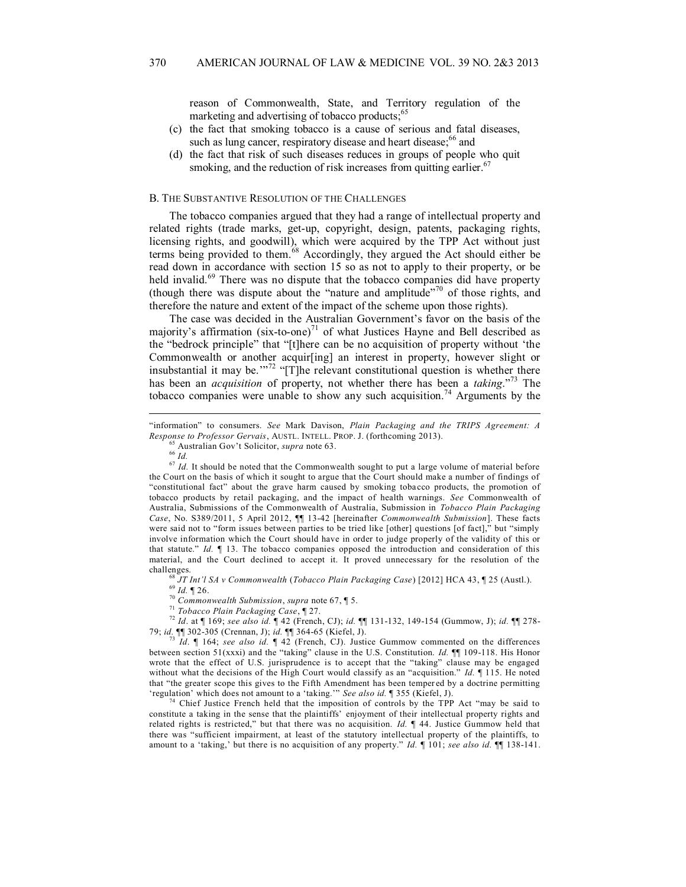reason of Commonwealth, State, and Territory regulation of the marketing and advertising of tobacco products; 65

- (c) the fact that smoking tobacco is a cause of serious and fatal diseases, such as lung cancer, respiratory disease and heart disease;<sup>66</sup> and
- (d) the fact that risk of such diseases reduces in groups of people who quit smoking, and the reduction of risk increases from quitting earlier.<sup>67</sup>

# B. THE SUBSTANTIVE RESOLUTION OF THE CHALLENGES

The tobacco companies argued that they had a range of intellectual property and related rights (trade marks, get-up, copyright, design, patents, packaging rights, licensing rights, and goodwill), which were acquired by the TPP Act without just terms being provided to them. <sup>68</sup> Accordingly, they argued the Act should either be read down in accordance with section 15 so as not to apply to their property, or be held invalid.<sup>69</sup> There was no dispute that the tobacco companies did have property (though there was dispute about the "nature and amplitude"<sup>70</sup> of those rights, and therefore the nature and extent of the impact of the scheme upon those rights).

The case was decided in the Australian Government's favor on the basis of the majority's affirmation  $(six-to-one)^{71}$  of what Justices Hayne and Bell described as the "bedrock principle" that "[t]here can be no acquisition of property without 'the Commonwealth or another acquir[ing] an interest in property, however slight or insubstantial it may be.'"<sup>72</sup> "[T]he relevant constitutional question is whether there has been an *acquisition* of property, not whether there has been a *taking*." <sup>73</sup> The tobacco companies were unable to show any such acquisition.<sup>74</sup> Arguments by the

<sup>65</sup> Australian Gov't Solicitor, *supra* note 63.

<sup>66</sup> *Id.*

 $\overline{a}$ 

<sup>67</sup> *Id.* It should be noted that the Commonwealth sought to put a large volume of material before the Court on the basis of which it sought to argue that the Court should make a number of findings of "constitutional fact" about the grave harm caused by smoking toba cco products, the promotion of tobacco products by retail packaging, and the impact of health warnings. *See* Commonwealth of Australia, Submissions of the Commonwealth of Australia, Submission in *Tobacco Plain Packaging Case*, No. S389/2011, 5 April 2012, ¶¶ 13-42 [hereinafter *Commonwealth Submission*]. These facts were said not to "form issues between parties to be tried like [other] questions [of fact]," but "simply involve information which the Court should have in order to judge properly of the validity of this or that statute." *Id.* ¶ 13. The tobacco companies opposed the introduction and consideration of this material, and the Court declined to accept it. It proved unnecessary for the resolution of the challenges.

<sup>68</sup> *JT Int'l SA v Commonwealth* (*Tobacco Plain Packaging Case*) [2012] HCA 43, ¶ 25 (Austl.).

<sup>69</sup> *Id.* ¶ 26.

<sup>70</sup> *Commonwealth Submission*, *supra* note 67, ¶ 5.

<sup>71</sup> *Tobacco Plain Packaging Case*, ¶ 27.

<sup>72</sup> *Id*. at ¶ 169; *see also id.* ¶ 42 (French, CJ); *id.* ¶¶ 131-132, 149-154 (Gummow, J); *id.* ¶¶ 278- 79; *id.* ¶¶ 302-305 (Crennan, J); *id.* ¶¶ 364-65 (Kiefel, J). <sup>73</sup> *Id*. ¶ 164; *see also id.* ¶ 42 (French, CJ). Justice Gummow commented on the differences

between section 51(xxxi) and the "taking" clause in the U.S. Constitution. *Id.* ¶¶ 109-118. His Honor wrote that the effect of U.S. jurisprudence is to accept that the "taking" clause may be engaged without what the decisions of the High Court would classify as an "acquisition." *Id.* ¶ 115. He noted that "the greater scope this gives to the Fifth Amendment has been temper ed by a doctrine permitting 'regulation' which does not amount to a 'taking.'" *See also id.* ¶ 355 (Kiefel, J).

<sup>74</sup> Chief Justice French held that the imposition of controls by the TPP Act "may be said to constitute a taking in the sense that the plaintiffs' enjoyment of their intellectual property rights and related rights is restricted," but that there was no acquisition. *Id.* ¶ 44. Justice Gummow held that there was "sufficient impairment, at least of the statutory intellectual property of the plaintiffs, to amount to a 'taking,' but there is no acquisition of any property." *Id.* ¶ 101; *see also id.* ¶¶ 138-141.

<sup>&</sup>quot;information" to consumers. *See* Mark Davison, *Plain Packaging and the TRIPS Agreement: A Response to Professor Gervais*, AUSTL. INTELL. PROP. J. (forthcoming 2013).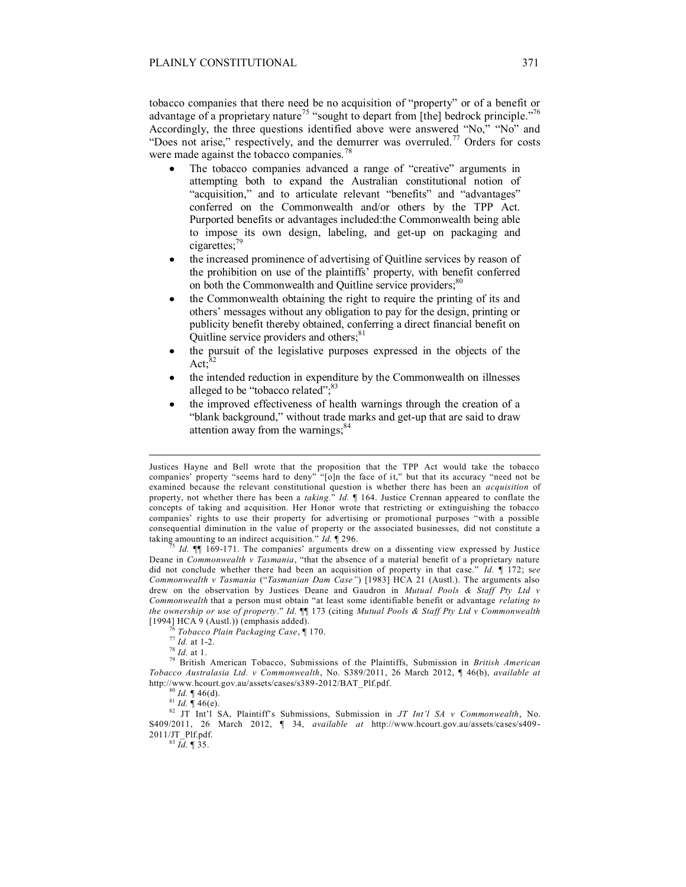tobacco companies that there need be no acquisition of "property" or of a benefit or advantage of a proprietary nature<sup>75</sup> "sought to depart from [the] bedrock principle."<sup>76</sup> Accordingly, the three questions identified above were answered "No," "No" and "Does not arise," respectively, and the demurrer was overruled.<sup>77</sup> Orders for costs were made against the tobacco companies.<sup>78</sup>

- The tobacco companies advanced a range of "creative" arguments in attempting both to expand the Australian constitutional notion of "acquisition," and to articulate relevant "benefits" and "advantages" conferred on the Commonwealth and/or others by the TPP Act. Purported benefits or advantages included:the Commonwealth being able to impose its own design, labeling, and get-up on packaging and cigarettes; 79
- the increased prominence of advertising of Quitline services by reason of the prohibition on use of the plaintiffs' property, with benefit conferred on both the Commonwealth and Quitline service providers;<sup>80</sup>
- the Commonwealth obtaining the right to require the printing of its and others' messages without any obligation to pay for the design, printing or publicity benefit thereby obtained, conferring a direct financial benefit on Quitline service providers and others;<sup>81</sup>
- the pursuit of the legislative purposes expressed in the objects of the Act; $^{82}$
- the intended reduction in expenditure by the Commonwealth on illnesses alleged to be "tobacco related";<sup>83</sup>
- the improved effectiveness of health warnings through the creation of a "blank background," without trade marks and get-up that are said to draw attention away from the warnings;<sup>84</sup>

*Id.* **[169-171.** The companies' arguments drew on a dissenting view expressed by Justice Deane in *Commonwealth v Tasmania*, "that the absence of a material benefit of a proprietary nature did not conclude whether there had been an acquisition of property in that case." *Id.* ¶ 172; s*ee Commonwealth v Tasmania* ("*Tasmanian Dam Case"*) [1983] HCA 21 (Austl.). The arguments also drew on the observation by Justices Deane and Gaudron in *Mutual Pools & Staff Pty Ltd v Commonwealth* that a person must obtain "at least some identifiable benefit or advantage *relating to the ownership or use of property*." *Id.* ¶¶ 173 (citing *Mutual Pools & Staff Pty Ltd v Commonwealth* [1994] HCA 9 (Austl.)) (emphasis added).

<sup>76</sup> *Tobacco Plain Packaging Case*, ¶ 170.

<sup>77</sup> *Id.* at 1-2.

 $\overline{a}$ 

<sup>78</sup> *Id.* at 1.

<sup>79</sup> British American Tobacco, Submissions of the Plaintiffs, Submission in *British American Tobacco Australasia Ltd. v Commonwealth*, No. S389/2011, 26 March 2012, ¶ 46(b), *available at* http://www.hcourt.gov.au/assets/cases/s389-2012/BAT\_Plf.pdf.

<sup>80</sup> *Id.* ¶ 46(d).

 $^{81}$  *Id.*  $\parallel$  46(e).

<sup>82</sup> JT Int'l SA, Plaintiff's Submissions, Submission in *JT Int'l SA v Commonwealth*, No. S409/2011, 26 March 2012, ¶ 34, *available at* http://www.hcourt.gov.au/assets/cases/s409- 2011/JT\_Plf.pdf.

 $^{83}$  *Id.* ¶ 35.

Justices Hayne and Bell wrote that the proposition that the TPP Act would take the tobacco companies' property "seems hard to deny" "[o]n the face of it," but that its accuracy "need not be examined because the relevant constitutional question is whether there has been an *acquisition* of property, not whether there has been a *taking.*" *Id.* ¶ 164. Justice Crennan appeared to conflate the concepts of taking and acquisition. Her Honor wrote that restricting or extinguishing the tobacco companies' rights to use their property for advertising or promotional purposes "with a possible consequential diminution in the value of property or the associated businesses, did not constitute a taking amounting to an indirect acquisition." *Id.* ¶ 296.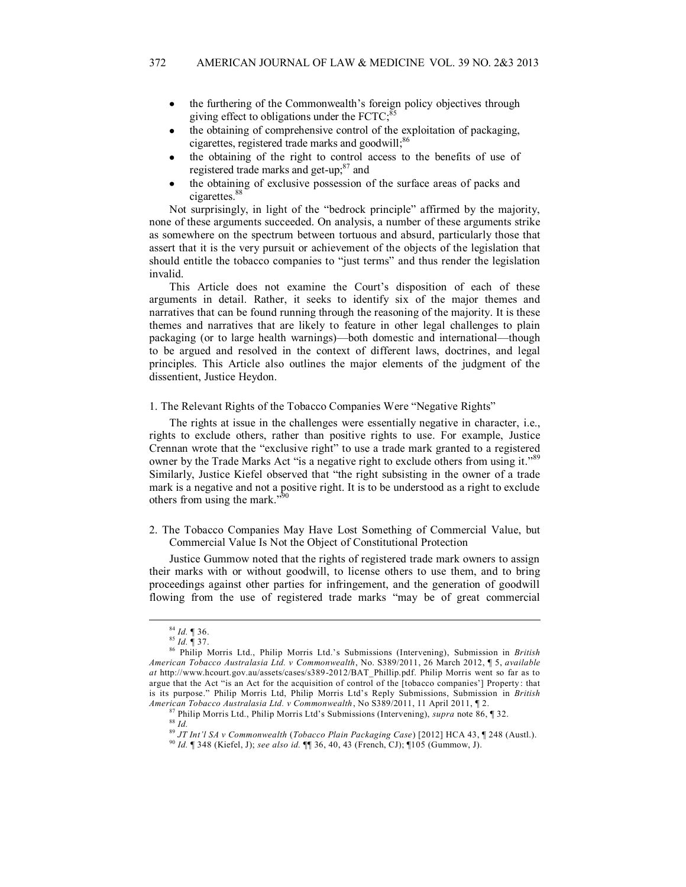- the furthering of the Commonwealth's foreign policy objectives through giving effect to obligations under the FCTC; ${}^{85}$
- the obtaining of comprehensive control of the exploitation of packaging, cigarettes, registered trade marks and goodwill; 86
- the obtaining of the right to control access to the benefits of use of registered trade marks and get-up;<sup>87</sup> and
- the obtaining of exclusive possession of the surface areas of packs and cigarettes. 88

Not surprisingly, in light of the "bedrock principle" affirmed by the majority, none of these arguments succeeded. On analysis, a number of these arguments strike as somewhere on the spectrum between tortuous and absurd, particularly those that assert that it is the very pursuit or achievement of the objects of the legislation that should entitle the tobacco companies to "just terms" and thus render the legislation invalid.

This Article does not examine the Court's disposition of each of these arguments in detail. Rather, it seeks to identify six of the major themes and narratives that can be found running through the reasoning of the majority. It is these themes and narratives that are likely to feature in other legal challenges to plain packaging (or to large health warnings)—both domestic and international—though to be argued and resolved in the context of different laws, doctrines, and legal principles. This Article also outlines the major elements of the judgment of the dissentient, Justice Heydon.

## 1. The Relevant Rights of the Tobacco Companies Were "Negative Rights"

The rights at issue in the challenges were essentially negative in character, i.e., rights to exclude others, rather than positive rights to use. For example, Justice Crennan wrote that the "exclusive right" to use a trade mark granted to a registered owner by the Trade Marks Act "is a negative right to exclude others from using it."<sup>89</sup> Similarly, Justice Kiefel observed that "the right subsisting in the owner of a trade mark is a negative and not a positive right. It is to be understood as a right to exclude others from using the mark." $\frac{300}{20}$ 

2. The Tobacco Companies May Have Lost Something of Commercial Value, but Commercial Value Is Not the Object of Constitutional Protection

Justice Gummow noted that the rights of registered trade mark owners to assign their marks with or without goodwill, to license others to use them, and to bring proceedings against other parties for infringement, and the generation of goodwill flowing from the use of registered trade marks "may be of great commercial

<sup>84</sup> *Id.* ¶ 36.

<sup>85</sup> *Id.* ¶ 37.

<sup>86</sup> Philip Morris Ltd., Philip Morris Ltd.'s Submissions (Intervening), Submission in *British American Tobacco Australasia Ltd. v Commonwealth*, No. S389/2011, 26 March 2012, ¶ 5, *available at* http://www.hcourt.gov.au/assets/cases/s389-2012/BAT\_Phillip.pdf. Philip Morris went so far as to argue that the Act "is an Act for the acquisition of control of the [tobacco companies'] Property : that is its purpose." Philip Morris Ltd, Philip Morris Ltd's Reply Submissions, Submission in *British American Tobacco Australasia Ltd. v Commonwealth*, No S389/2011, 11 April 2011, ¶ 2.

<sup>87</sup> Philip Morris Ltd., Philip Morris Ltd's Submissions (Intervening), *supra* note 86, ¶ 32.

<sup>88</sup> *Id.*

<sup>89</sup> *JT Int'l SA v Commonwealth* (*Tobacco Plain Packaging Case*) [2012] HCA 43, ¶ 248 (Austl.).

<sup>90</sup> *Id.* ¶ 348 (Kiefel, J); *see also id.* ¶¶ 36, 40, 43 (French, CJ); ¶105 (Gummow, J).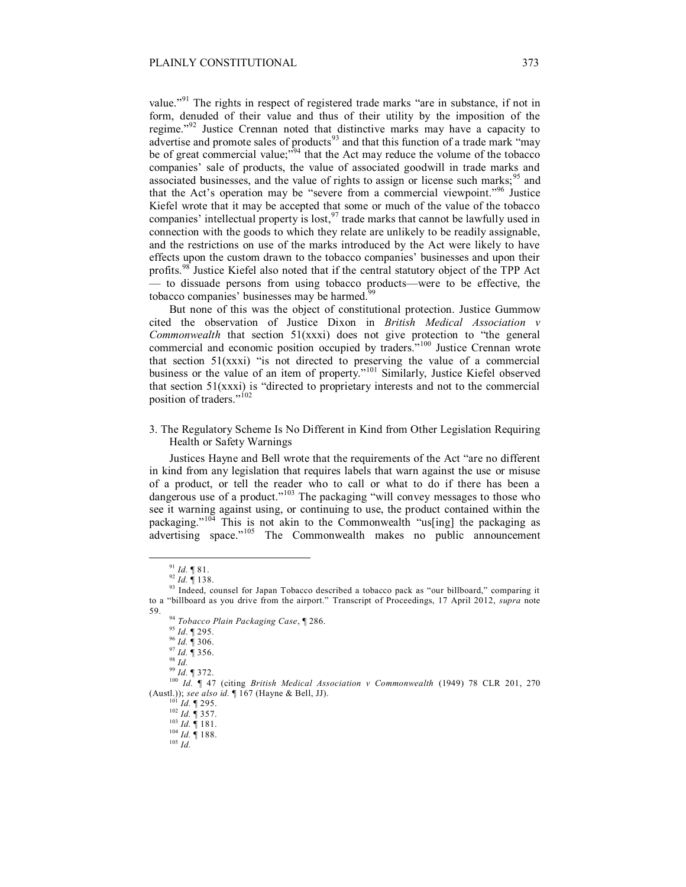value."<sup>91</sup> The rights in respect of registered trade marks "are in substance, if not in form, denuded of their value and thus of their utility by the imposition of the regime."<sup>92</sup> Justice Crennan noted that distinctive marks may have a capacity to advertise and promote sales of products<sup>93</sup> and that this function of a trade mark "may be of great commercial value;<sup> $394$ </sup> that the Act may reduce the volume of the tobacco companies' sale of products, the value of associated goodwill in trade marks and associated businesses, and the value of rights to assign or license such marks;<sup>95</sup> and that the Act's operation may be "severe from a commercial viewpoint."<sup>96</sup> Justice Kiefel wrote that it may be accepted that some or much of the value of the tobacco companies' intellectual property is lost, <sup>97</sup> trade marks that cannot be lawfully used in connection with the goods to which they relate are unlikely to be readily assignable, and the restrictions on use of the marks introduced by the Act were likely to have effects upon the custom drawn to the tobacco companies' businesses and upon their profits.<sup>98</sup> Justice Kiefel also noted that if the central statutory object of the TPP Act — to dissuade persons from using tobacco products—were to be effective, the tobacco companies' businesses may be harmed.<sup>9</sup>

But none of this was the object of constitutional protection. Justice Gummow cited the observation of Justice Dixon in *British Medical Association v Commonwealth* that section 51(xxxi) does not give protection to "the general commercial and economic position occupied by traders."<sup>100</sup> Justice Crennan wrote that section  $51(xxxi)$  "is not directed to preserving the value of a commercial business or the value of an item of property."<sup>101</sup> Similarly, Justice Kiefel observed that section  $51(xxxi)$  is "directed to proprietary interests and not to the commercial position of traders."<sup>102</sup>

3. The Regulatory Scheme Is No Different in Kind from Other Legislation Requiring Health or Safety Warnings

Justices Hayne and Bell wrote that the requirements of the Act "are no different in kind from any legislation that requires labels that warn against the use or misuse of a product, or tell the reader who to call or what to do if there has been a dangerous use of a product."<sup>103</sup> The packaging "will convey messages to those who see it warning against using, or continuing to use, the product contained within the packaging."<sup>104</sup> This is not akin to the Commonwealth "us[ing] the packaging as advertising space."<sup>105</sup> The Commonwealth makes no public announcement

<sup>91</sup> *Id.* ¶ 81.

<sup>92</sup> *Id.* ¶ 138.

<sup>&</sup>lt;sup>93</sup> Indeed, counsel for Japan Tobacco described a tobacco pack as "our billboard," comparing it to a "billboard as you drive from the airport." Transcript of Proceedings, 17 April 2012, *supra* note 59.

<sup>94</sup> *Tobacco Plain Packaging Case*, ¶ 286.

<sup>95</sup> *Id*. ¶ 295.

<sup>96</sup> *Id.* ¶ 306.

<sup>97</sup> *Id.* ¶ 356.  $^{98}$  *Id.* 

<sup>99</sup> *Id.* ¶ 372.

<sup>100</sup> *Id.* ¶ 47 (citing *British Medical Association v Commonwealth* (1949) 78 CLR 201, 270 (Austl.)); *see also id.* ¶ 167 (Hayne & Bell, JJ).

<sup>101</sup> *Id.* ¶ 295.

 $^{102}$  *Id.*  $\parallel$  357.

<sup>103</sup> *Id.* ¶ 181.  $104 \over 10$ .  $\overline{$  188.

<sup>105</sup> *Id.*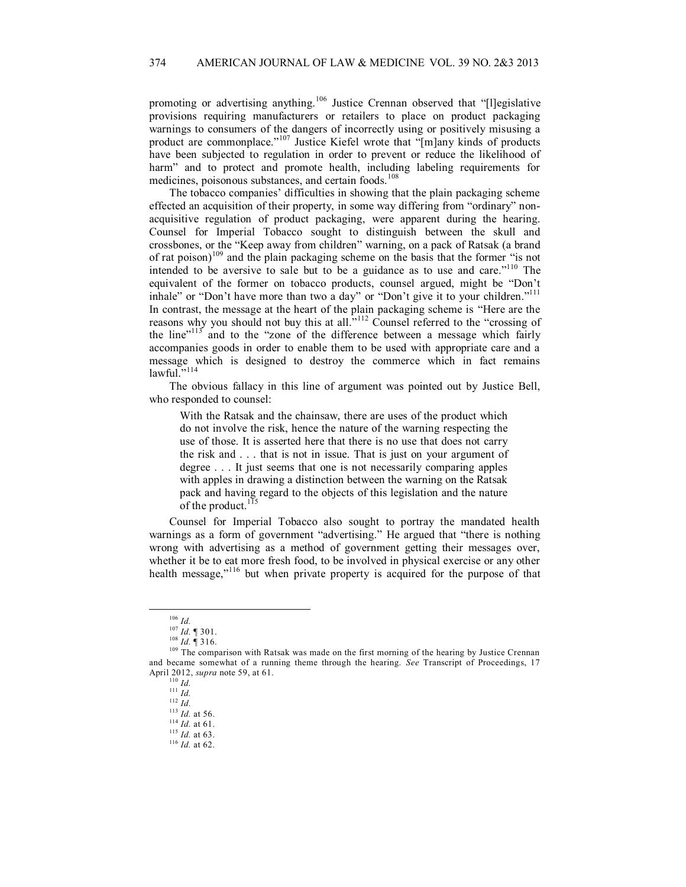promoting or advertising anything.<sup>106</sup> Justice Crennan observed that "[l]egislative provisions requiring manufacturers or retailers to place on product packaging warnings to consumers of the dangers of incorrectly using or positively misusing a product are commonplace."<sup>107</sup> Justice Kiefel wrote that "[m]any kinds of products have been subjected to regulation in order to prevent or reduce the likelihood of harm" and to protect and promote health, including labeling requirements for medicines, poisonous substances, and certain foods.<sup>108</sup>

The tobacco companies' difficulties in showing that the plain packaging scheme effected an acquisition of their property, in some way differing from "ordinary" nonacquisitive regulation of product packaging, were apparent during the hearing. Counsel for Imperial Tobacco sought to distinguish between the skull and crossbones, or the "Keep away from children" warning, on a pack of Ratsak (a brand of rat poison)<sup>109</sup> and the plain packaging scheme on the basis that the former "is not intended to be aversive to sale but to be a guidance as to use and care."<sup>110</sup> The equivalent of the former on tobacco products, counsel argued, might be "Don't inhale" or "Don't have more than two a day" or "Don't give it to your children."<sup>111</sup> In contrast, the message at the heart of the plain packaging scheme is "Here are the reasons why you should not buy this at all."<sup>112</sup> Counsel referred to the "crossing of the line $"$ <sup>113</sup> and to the "zone of the difference between a message which fairly accompanies goods in order to enable them to be used with appropriate care and a message which is designed to destroy the commerce which in fact remains lawful."<sup>114</sup>

The obvious fallacy in this line of argument was pointed out by Justice Bell, who responded to counsel:

With the Ratsak and the chainsaw, there are uses of the product which do not involve the risk, hence the nature of the warning respecting the use of those. It is asserted here that there is no use that does not carry the risk and . . . that is not in issue. That is just on your argument of degree . . . It just seems that one is not necessarily comparing apples with apples in drawing a distinction between the warning on the Ratsak pack and having regard to the objects of this legislation and the nature of the product.<sup>115</sup>

Counsel for Imperial Tobacco also sought to portray the mandated health warnings as a form of government "advertising." He argued that "there is nothing wrong with advertising as a method of government getting their messages over, whether it be to eat more fresh food, to be involved in physical exercise or any other health message,"<sup>116</sup> but when private property is acquired for the purpose of that

<sup>106</sup> *Id.*

<sup>107</sup> *Id.* ¶ 301.

<sup>108</sup> *Id.* ¶ 316.

<sup>&</sup>lt;sup>109</sup> The comparison with Ratsak was made on the first morning of the hearing by Justice Crennan and became somewhat of a running theme through the hearing. *See* Transcript of Proceedings, 17 April 2012, *supra* note 59, at 61.

 $110$  *Id.* 

<sup>111</sup> *Id.* <sup>112</sup> *Id.*

<sup>&</sup>lt;sup>113</sup> *Id.* at 56. <sup>114</sup> *Id.* at 61.

<sup>115</sup> *Id.* at 63.

<sup>116</sup> *Id.* at 62.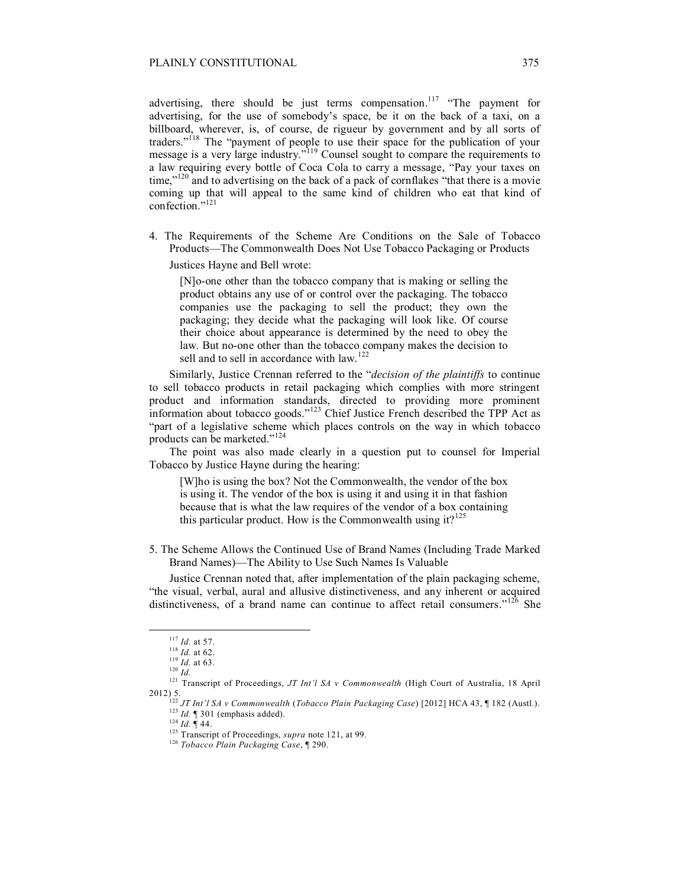advertising, there should be just terms compensation.<sup>117</sup> "The payment for advertising, for the use of somebody's space, be it on the back of a taxi, on a billboard, wherever, is, of course, de rigueur by government and by all sorts of traders." <sup>118</sup> The "payment of people to use their space for the publication of your message is a very large industry."<sup>119</sup> Counsel sought to compare the requirements to a law requiring every bottle of Coca Cola to carry a message, "Pay your taxes on time,"<sup>120</sup> and to advertising on the back of a pack of cornflakes "that there is a movie coming up that will appeal to the same kind of children who eat that kind of confection." 121

4. The Requirements of the Scheme Are Conditions on the Sale of Tobacco Products—The Commonwealth Does Not Use Tobacco Packaging or Products

Justices Hayne and Bell wrote:

[N]o-one other than the tobacco company that is making or selling the product obtains any use of or control over the packaging. The tobacco companies use the packaging to sell the product; they own the packaging; they decide what the packaging will look like. Of course their choice about appearance is determined by the need to obey the law. But no-one other than the tobacco company makes the decision to sell and to sell in accordance with law.<sup>122</sup>

Similarly, Justice Crennan referred to the "*decision of the plaintiffs* to continue to sell tobacco products in retail packaging which complies with more stringent product and information standards, directed to providing more prominent information about tobacco goods." <sup>123</sup> Chief Justice French described the TPP Act as "part of a legislative scheme which places controls on the way in which tobacco products can be marketed."<sup>124</sup>

The point was also made clearly in a question put to counsel for Imperial Tobacco by Justice Hayne during the hearing:

[W]ho is using the box? Not the Commonwealth, the vendor of the box is using it. The vendor of the box is using it and using it in that fashion because that is what the law requires of the vendor of a box containing this particular product. How is the Commonwealth using it? $125$ 

5. The Scheme Allows the Continued Use of Brand Names (Including Trade Marked Brand Names)—The Ability to Use Such Names Is Valuable

Justice Crennan noted that, after implementation of the plain packaging scheme, "the visual, verbal, aural and allusive distinctiveness, and any inherent or acquired distinctiveness, of a brand name can continue to affect retail consumers." $126$  She

<sup>117</sup> *Id.* at 57.

<sup>118</sup> *Id.* at 62.

 $^{119}$  *Id.* at 63.

 $\frac{120}{Id}$ .

<sup>&</sup>lt;sup>121</sup> Transcript of Proceedings, *JT Int'l SA v Commonwealth* (High Court of Australia, 18 April 2012) 5. <sup>122</sup> *JT Int'l SA v Commonwealth* (*Tobacco Plain Packaging Case*) [2012] HCA 43, ¶ 182 (Austl.).

<sup>123</sup> *Id.* ¶ 301 (emphasis added).

<sup>124</sup> *Id.* ¶ 44.

<sup>&</sup>lt;sup>125</sup> Transcript of Proceedings, *supra* note 121, at 99.

<sup>126</sup> *Tobacco Plain Packaging Case*, ¶ 290.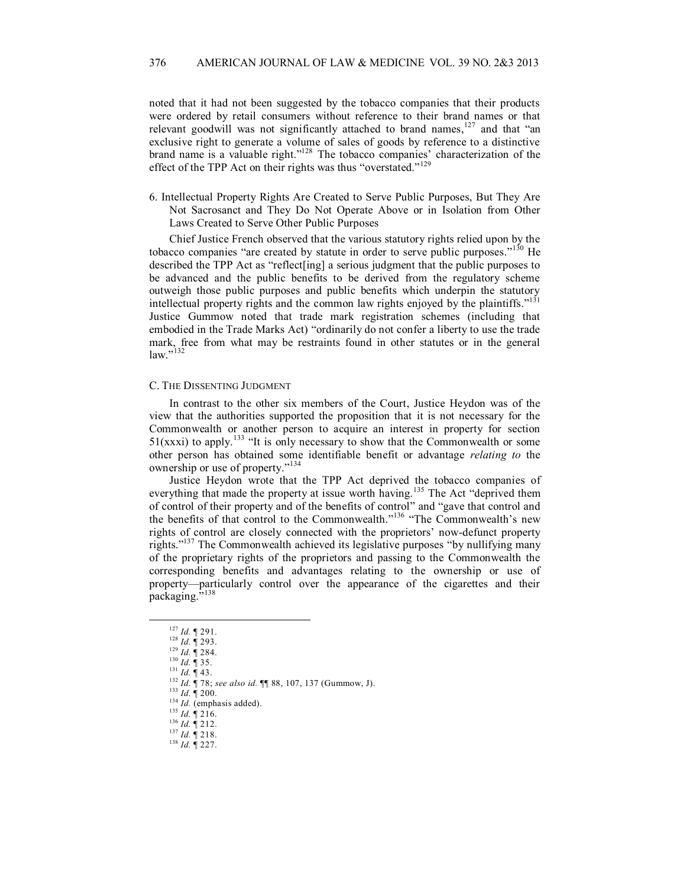noted that it had not been suggested by the tobacco companies that their products were ordered by retail consumers without reference to their brand names or that relevant goodwill was not significantly attached to brand names,  $127$  and that "an exclusive right to generate a volume of sales of goods by reference to a distinctive brand name is a valuable right."<sup>128</sup> The tobacco companies' characterization of the effect of the TPP Act on their rights was thus "overstated."<sup>129</sup>

6. Intellectual Property Rights Are Created to Serve Public Purposes, But They Are Not Sacrosanct and They Do Not Operate Above or in Isolation from Other Laws Created to Serve Other Public Purposes

Chief Justice French observed that the various statutory rights relied upon by the tobacco companies "are created by statute in order to serve public purposes."<sup>130</sup> He described the TPP Act as "reflect[ing] a serious judgment that the public purposes to be advanced and the public benefits to be derived from the regulatory scheme outweigh those public purposes and public benefits which underpin the statutory intellectual property rights and the common law rights enjoyed by the plaintiffs."<sup>131</sup> Justice Gummow noted that trade mark registration schemes (including that embodied in the Trade Marks Act) "ordinarily do not confer a liberty to use the trade mark, free from what may be restraints found in other statutes or in the general law." 132

## C. THE DISSENTING JUDGMENT

In contrast to the other six members of the Court, Justice Heydon was of the view that the authorities supported the proposition that it is not necessary for the Commonwealth or another person to acquire an interest in property for section  $51(xxx)$  to apply.<sup>133</sup> "It is only necessary to show that the Commonwealth or some other person has obtained some identifiable benefit or advantage *relating to* the ownership or use of property."<sup>134</sup>

Justice Heydon wrote that the TPP Act deprived the tobacco companies of everything that made the property at issue worth having.<sup>135</sup> The Act "deprived them of control of their property and of the benefits of control" and "gave that control and the benefits of that control to the Commonwealth." <sup>136</sup> "The Commonwealth's new rights of control are closely connected with the proprietors' now-defunct property rights."<sup>137</sup> The Commonwealth achieved its legislative purposes "by nullifying many of the proprietary rights of the proprietors and passing to the Commonwealth the corresponding benefits and advantages relating to the ownership or use of property—particularly control over the appearance of the cigarettes and their packaging."<sup>138</sup>

 $\overline{a}$ 

<sup>135</sup> *Id.* ¶ 216.

<sup>127</sup> *Id.* ¶ 291.

<sup>128</sup> *Id.* ¶ 293.

<sup>129</sup> *Id.* ¶ 284. <sup>130</sup> *Id.* ¶ 35.

<sup>131</sup> *Id.* ¶ 43.

<sup>132</sup> *Id.* ¶ 78; *see also id.* ¶¶ 88, 107, 137 (Gummow, J).

<sup>133</sup> *Id.* ¶ 200.

<sup>&</sup>lt;sup>134</sup> *Id.* (emphasis added).

 $^{136}$  *Id.*  $\sqrt{212}$ .

 $^{137}$  *Id.*  $\sqrt{\phantom{0}}$  218.

<sup>138</sup> *Id.* ¶ 227.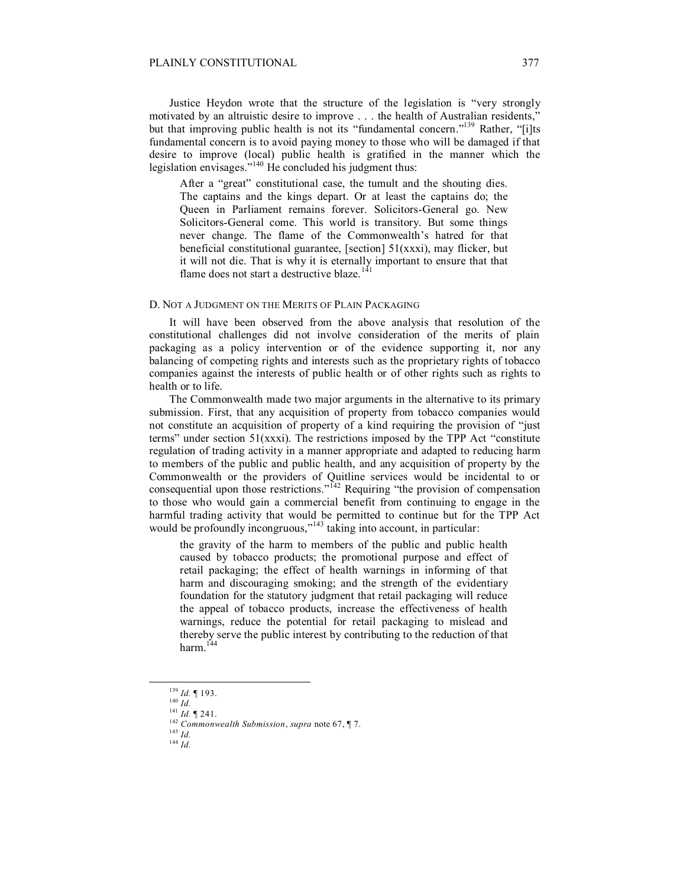Justice Heydon wrote that the structure of the legislation is "very strongly motivated by an altruistic desire to improve . . . the health of Australian residents," but that improving public health is not its "fundamental concern."<sup>139</sup> Rather, "[i]ts fundamental concern is to avoid paying money to those who will be damaged if that desire to improve (local) public health is gratified in the manner which the legislation envisages."<sup>140</sup> He concluded his judgment thus:

After a "great" constitutional case, the tumult and the shouting dies. The captains and the kings depart. Or at least the captains do; the Queen in Parliament remains forever. Solicitors-General go. New Solicitors-General come. This world is transitory. But some things never change. The flame of the Commonwealth's hatred for that beneficial constitutional guarantee, [section] 51(xxxi), may flicker, but it will not die. That is why it is eternally important to ensure that that flame does not start a destructive blaze.<sup>14</sup>

# D. NOT A JUDGMENT ON THE MERITS OF PLAIN PACKAGING

It will have been observed from the above analysis that resolution of the constitutional challenges did not involve consideration of the merits of plain packaging as a policy intervention or of the evidence supporting it, nor any balancing of competing rights and interests such as the proprietary rights of tobacco companies against the interests of public health or of other rights such as rights to health or to life.

The Commonwealth made two major arguments in the alternative to its primary submission. First, that any acquisition of property from tobacco companies would not constitute an acquisition of property of a kind requiring the provision of "just terms" under section 51(xxxi). The restrictions imposed by the TPP Act "constitute regulation of trading activity in a manner appropriate and adapted to reducing harm to members of the public and public health, and any acquisition of property by the Commonwealth or the providers of Quitline services would be incidental to or consequential upon those restrictions."<sup>142</sup> Requiring "the provision of compensation to those who would gain a commercial benefit from continuing to engage in the harmful trading activity that would be permitted to continue but for the TPP Act would be profoundly incongruous,"<sup>143</sup> taking into account, in particular:

the gravity of the harm to members of the public and public health caused by tobacco products; the promotional purpose and effect of retail packaging; the effect of health warnings in informing of that harm and discouraging smoking; and the strength of the evidentiary foundation for the statutory judgment that retail packaging will reduce the appeal of tobacco products, increase the effectiveness of health warnings, reduce the potential for retail packaging to mislead and thereby serve the public interest by contributing to the reduction of that harm.<sup>144</sup>

 $\overline{a}$ 

<sup>144</sup> *Id.*

<sup>139</sup> *Id.* ¶ 193.

<sup>140</sup> *Id.*

<sup>141</sup> *Id.* ¶ 241.

<sup>142</sup> *Commonwealth Submission*, *supra* note 67, ¶ 7. <sup>143</sup> *Id.*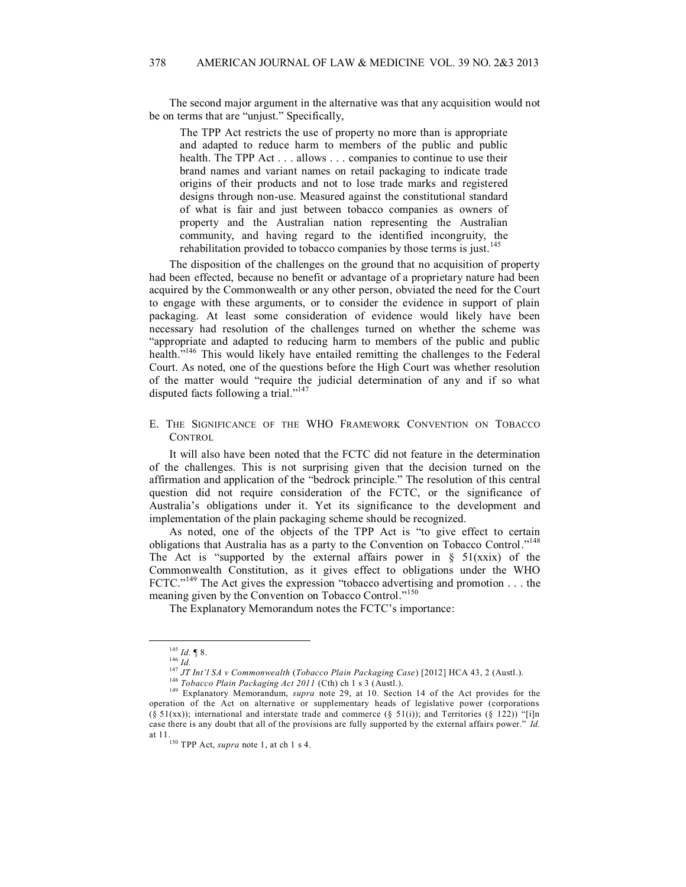The second major argument in the alternative was that any acquisition would not be on terms that are "unjust." Specifically,

The TPP Act restricts the use of property no more than is appropriate and adapted to reduce harm to members of the public and public health. The TPP Act . . . allows . . . companies to continue to use their brand names and variant names on retail packaging to indicate trade origins of their products and not to lose trade marks and registered designs through non-use. Measured against the constitutional standard of what is fair and just between tobacco companies as owners of property and the Australian nation representing the Australian community, and having regard to the identified incongruity, the rehabilitation provided to tobacco companies by those terms is just.<sup>145</sup>

The disposition of the challenges on the ground that no acquisition of property had been effected, because no benefit or advantage of a proprietary nature had been acquired by the Commonwealth or any other person, obviated the need for the Court to engage with these arguments, or to consider the evidence in support of plain packaging. At least some consideration of evidence would likely have been necessary had resolution of the challenges turned on whether the scheme was "appropriate and adapted to reducing harm to members of the public and public health."<sup>146</sup> This would likely have entailed remitting the challenges to the Federal Court. As noted, one of the questions before the High Court was whether resolution of the matter would "require the judicial determination of any and if so what disputed facts following a trial."<sup>147</sup>

E. THE SIGNIFICANCE OF THE WHO FRAMEWORK CONVENTION ON TOBACCO **CONTROL** 

It will also have been noted that the FCTC did not feature in the determination of the challenges. This is not surprising given that the decision turned on the affirmation and application of the "bedrock principle." The resolution of this central question did not require consideration of the FCTC, or the significance of Australia's obligations under it. Yet its significance to the development and implementation of the plain packaging scheme should be recognized.

As noted, one of the objects of the TPP Act is "to give effect to certain obligations that Australia has as a party to the Convention on Tobacco Control." 148 The Act is "supported by the external affairs power in  $\S$  51(xxix) of the Commonwealth Constitution, as it gives effect to obligations under the WHO FCTC."<sup>149</sup> The Act gives the expression "tobacco advertising and promotion . . . the meaning given by the Convention on Tobacco Control."<sup>150</sup>

The Explanatory Memorandum notes the FCTC's importance:

<sup>145</sup> *Id.* ¶ 8.

 $\overline{^{146}}\, \overline{Id}.$ 

<sup>147</sup> *JT Int'l SA v Commonwealth* (*Tobacco Plain Packaging Case*) [2012] HCA 43, 2 (Austl.).

<sup>148</sup> *Tobacco Plain Packaging Act 2011* (Cth) ch 1 s 3 (Austl.).

<sup>149</sup> Explanatory Memorandum, *supra* note 29, at 10. Section 14 of the Act provides for the operation of the Act on alternative or supplementary heads of legislative power (corporations (§ 51(xx)); international and interstate trade and commerce (§ 51(i)); and Territories (§ 122)) "[i]n case there is any doubt that all of the provisions are fully supported by the external affairs power." *Id.* at 11.

<sup>150</sup> TPP Act, *supra* note 1, at ch 1 s 4.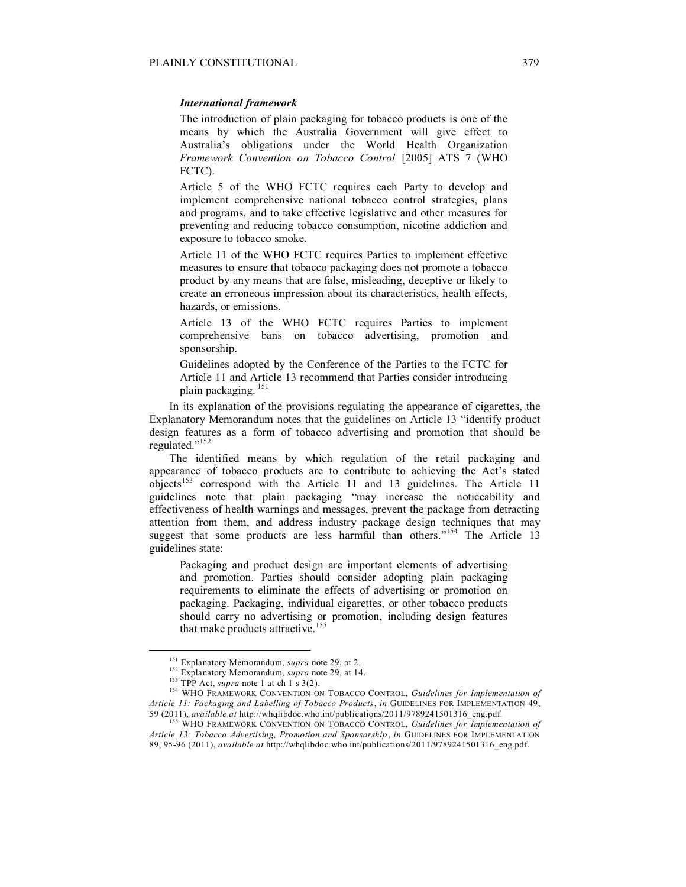## *International framework*

The introduction of plain packaging for tobacco products is one of the means by which the Australia Government will give effect to Australia's obligations under the World Health Organization *Framework Convention on Tobacco Control* [2005] ATS 7 (WHO FCTC).

Article 5 of the WHO FCTC requires each Party to develop and implement comprehensive national tobacco control strategies, plans and programs, and to take effective legislative and other measures for preventing and reducing tobacco consumption, nicotine addiction and exposure to tobacco smoke.

Article 11 of the WHO FCTC requires Parties to implement effective measures to ensure that tobacco packaging does not promote a tobacco product by any means that are false, misleading, deceptive or likely to create an erroneous impression about its characteristics, health effects, hazards, or emissions.

Article 13 of the WHO FCTC requires Parties to implement comprehensive bans on tobacco advertising, promotion and sponsorship.

Guidelines adopted by the Conference of the Parties to the FCTC for Article 11 and Article 13 recommend that Parties consider introducing plain packaging. <sup>151</sup>

In its explanation of the provisions regulating the appearance of cigarettes, the Explanatory Memorandum notes that the guidelines on Article 13 "identify product design features as a form of tobacco advertising and promotion that should be regulated." 152

The identified means by which regulation of the retail packaging and appearance of tobacco products are to contribute to achieving the Act's stated objects<sup>153</sup> correspond with the Article 11 and 13 guidelines. The Article 11 guidelines note that plain packaging "may increase the noticeability and effectiveness of health warnings and messages, prevent the package from detracting attention from them, and address industry package design techniques that may suggest that some products are less harmful than others."<sup>154</sup> The Article 13 guidelines state:

Packaging and product design are important elements of advertising and promotion. Parties should consider adopting plain packaging requirements to eliminate the effects of advertising or promotion on packaging. Packaging, individual cigarettes, or other tobacco products should carry no advertising or promotion, including design features that make products attractive. 155

<sup>151</sup> Explanatory Memorandum, *supra* note 29, at 2.

<sup>152</sup> Explanatory Memorandum, *supra* note 29, at 14.

<sup>153</sup> TPP Act, *supra* note 1 at ch 1 s 3(2).

<sup>154</sup> WHO FRAMEWORK CONVENTION ON TOBACCO CONTROL, *Guidelines for Implementation of Article 11: Packaging and Labelling of Tobacco Products*, *in* GUIDELINES FOR IMPLEMENTATION 49, 59 (2011), *available at* http://whqlibdoc.who.int/publications/2011/9789241501316\_eng.pdf.

<sup>155</sup> WHO FRAMEWORK CONVENTION ON TOBACCO CONTROL, *Guidelines for Implementation of Article 13: Tobacco Advertising, Promotion and Sponsorship*, *in* GUIDELINES FOR IMPLEMENTATION 89, 95-96 (2011), *available at* http://whqlibdoc.who.int/publications/2011/9789241501316\_eng.pdf.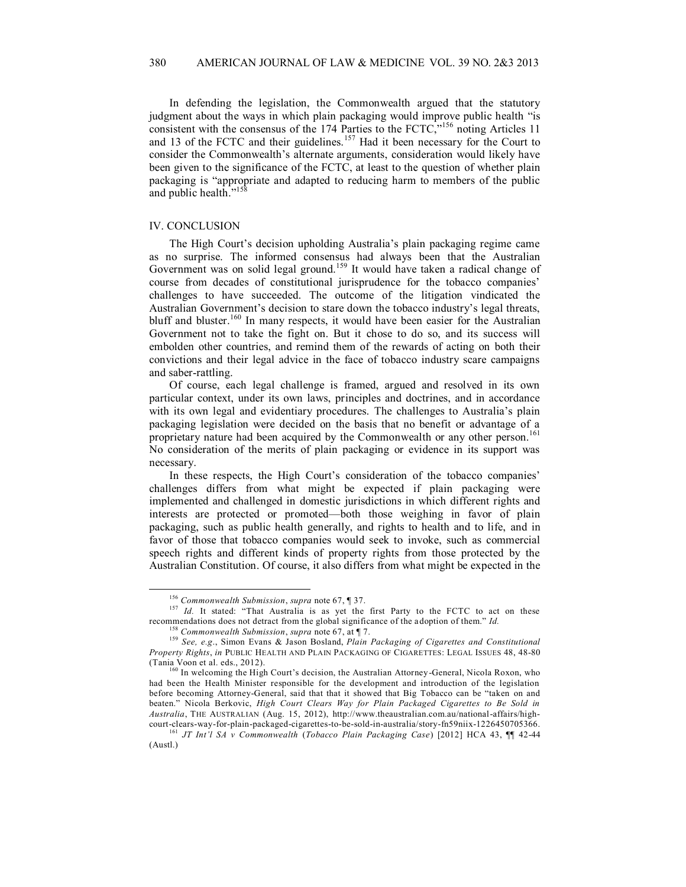In defending the legislation, the Commonwealth argued that the statutory judgment about the ways in which plain packaging would improve public health "is consistent with the consensus of the 174 Parties to the FCTC,"<sup>156</sup> noting Articles 11 and 13 of the FCTC and their guidelines.<sup>157</sup> Had it been necessary for the Court to consider the Commonwealth's alternate arguments, consideration would likely have been given to the significance of the FCTC, at least to the question of whether plain packaging is "appropriate and adapted to reducing harm to members of the public and public health."<sup>158</sup>

## IV. CONCLUSION

 $\overline{a}$ 

The High Court's decision upholding Australia's plain packaging regime came as no surprise. The informed consensus had always been that the Australian Government was on solid legal ground.<sup>159</sup> It would have taken a radical change of course from decades of constitutional jurisprudence for the tobacco companies' challenges to have succeeded. The outcome of the litigation vindicated the Australian Government's decision to stare down the tobacco industry's legal threats, bluff and bluster.<sup>160</sup> In many respects, it would have been easier for the Australian Government not to take the fight on. But it chose to do so, and its success will embolden other countries, and remind them of the rewards of acting on both their convictions and their legal advice in the face of tobacco industry scare campaigns and saber-rattling.

Of course, each legal challenge is framed, argued and resolved in its own particular context, under its own laws, principles and doctrines, and in accordance with its own legal and evidentiary procedures. The challenges to Australia's plain packaging legislation were decided on the basis that no benefit or advantage of a proprietary nature had been acquired by the Commonwealth or any other person.<sup>161</sup> No consideration of the merits of plain packaging or evidence in its support was necessary.

In these respects, the High Court's consideration of the tobacco companies' challenges differs from what might be expected if plain packaging were implemented and challenged in domestic jurisdictions in which different rights and interests are protected or promoted—both those weighing in favor of plain packaging, such as public health generally, and rights to health and to life, and in favor of those that tobacco companies would seek to invoke, such as commercial speech rights and different kinds of property rights from those protected by the Australian Constitution. Of course, it also differs from what might be expected in the

<sup>156</sup> *Commonwealth Submission*, *supra* note 67, ¶ 37.

<sup>&</sup>lt;sup>157</sup> *Id.* It stated: "That Australia is as yet the first Party to the FCTC to act on these recommendations does not detract from the global significance of the adoption of them." *Id.*

<sup>158</sup> *Commonwealth Submission*, *supra* note 67, at ¶ 7.

<sup>159</sup> *See, e.g*., Simon Evans & Jason Bosland, *Plain Packaging of Cigarettes and Constitutional Property Rights*, *in* PUBLIC HEALTH AND PLAIN PACKAGING OF CIGARETTES: LEGAL ISSUES 48, 48-80 (Tania Voon et al. eds., 2012).

<sup>&</sup>lt;sup>160</sup> In welcoming the High Court's decision, the Australian Attorney-General, Nicola Roxon, who had been the Health Minister responsible for the development and introduction of the legislation before becoming Attorney-General, said that that it showed that Big Tobacco can be "taken on and beaten." Nicola Berkovic, *High Court Clears Way for Plain Packaged Cigarettes to Be Sold in Australia*, THE AUSTRALIAN (Aug. 15, 2012), http://www.theaustralian.com.au/national-affairs/highcourt-clears-way-for-plain-packaged-cigarettes-to-be-sold-in-australia/story-fn59niix-1226450705366.

<sup>161</sup> *JT Int'l SA v Commonwealth* (*Tobacco Plain Packaging Case*) [2012] HCA 43, ¶¶ 42-44 (Austl.)